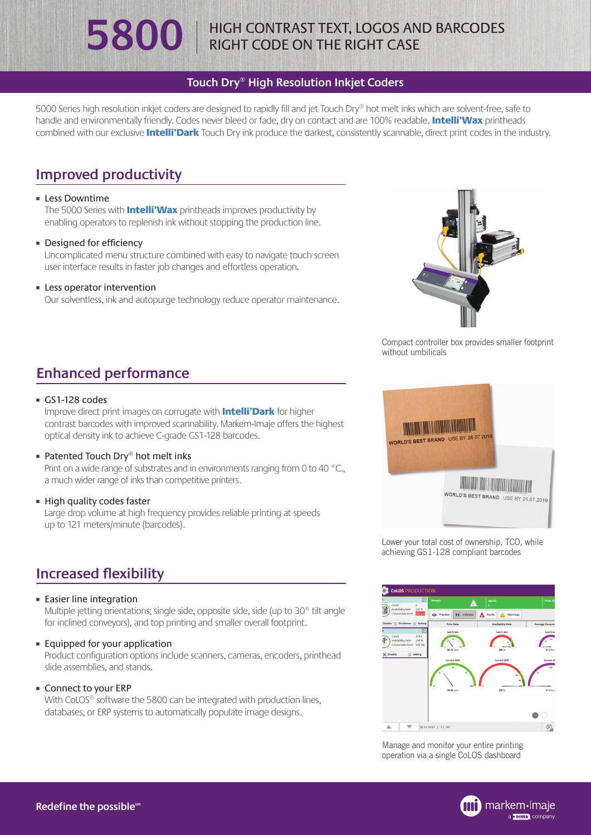### **Touch Dry® High Resolution Inkjet Coders**

5000 Series high resolution inkjet coders are designed to rapidly fill and jet Touch Dry® hot melt inks which are solvent-free, safe to handle and environmentally friendly. Codes never bleed or fade, dry on contact and are 100% readable. Intelli'Wax printheads combined with our exclusive **Intelli'Dark** Touch Dry ink produce the darkest, consistently scannable, direct print codes in the industry.

# **Improved productivity**

#### **Eless Downtime**

The 5000 Series with **Intelli'Wax** printheads improves productivity by enabling operators to replenish ink without stopping the production line.

**• Designed for efficiency** 

Uncomplicated menu structure combined with easy to navigate touch screen user interface results in faster job changes and effortless operation.

#### **Exercise Separator intervention**

Our solventless, ink and autopurge technology reduce operator maintenance.



Compact controller box provides smaller footprint without umbilicals

# **Enhanced performance**

#### GS1-128 codes

Improve direct print images on corrugate with **Intelli'Dark** for higher contrast barcodes with improved scannability. Markem-Imaje offers the highest optical density ink to achieve C-grade GS1-128 barcodes.

- Patented Touch Dry® hot melt inks Print on a wide range of substrates and in environments ranging from 0 to 40 °C. a much wider range of inks than competitive printers.
- **Exercise High quality codes faster** Large drop volume at high frequency provides reliable printing at speeds up to 121 meters/minute (barcodes).

# **Increased flexibility**

#### **Easier line integration**

Multiple jetting orientations; single side, opposite side, side (up to 30° tilt angle for inclined conveyors), and top printing and smaller overall footprint.

¡ Equipped for your application

Product configuration options include scanners, cameras, encoders, printhead slide assemblies, and stands.

¡ Connect to your ERP

With CoLOS<sup>®</sup> software the 5800 can be integrated with production lines, databases, or ERP systems to automatically populate image designs.



Lower your total cost of ownership, TCO, while achieving GS1-128 compliant barcodes



Manage and monitor your entire printing operation via a single CoLOS dashboard